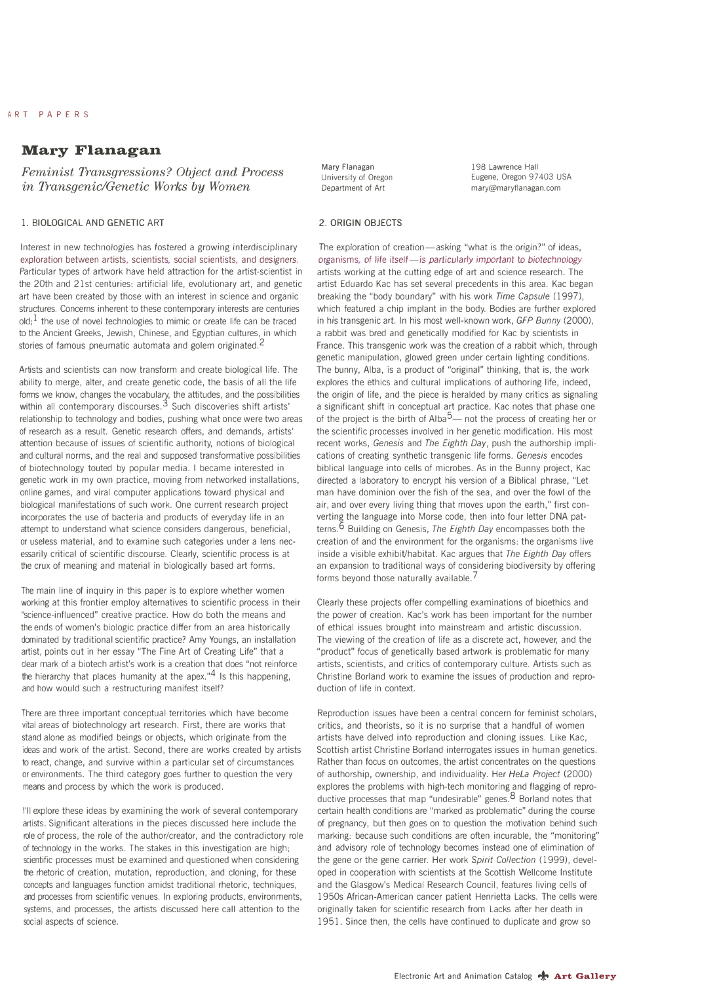#### ART PAPERS

# **Mary Flanagan**

*Feminist Transgressions? Object and Process in Transgenic/Genetic Works by Women* 

#### 1. BIOLOGICAL AND GENETIC ART

Interest in new technologies has fostered a growing interdisciplinary exploration between artists, scientists, social scientists, and *designers.*  Particular types of artwork have held attraction for the artist-scientist in the 20th and 21st centuries: artificial life, evolutionary art, and genetic art have been created by those with an interest in science and organic structures. Concerns inherent to these contemporary interests are centuries old;  $\frac{1}{1}$  the use of novel technologies to mimic or create life can be traced to the Ancient Greeks, Jewish, Chinese, and Egyptian cultures, in which stories of famous pneumatic automata and golem originated.2

Artists and scientists can now transform and create biological life. The ability to merge, alter, and create genetic code, the basis of all the life forms we know, changes the vocabulary, the attitudes, and the possibilities within all contemporary discourses.<sup>3</sup> Such discoveries shift artists' relationship to technology and bodies, pushing what once were two areas of research as a result. Genetic research offers, and demands, artists' attention because of issues of scientific authority, notions of biological and cultural norms, and the real and supposed transformative possibilities of biotechnology touted by popular media. I became interested in genetic work in my own practice, moving from networked installations, online games, and viral computer applications toward physical and biological manifestations of such work. One current research project incorporates the use of bacteria and products of everyday life in an attempt to understand what science considers dangerous, beneficial, or useless material, and to examine such categories under a lens necessarily critical of scientific discourse. Clearly, scientific process is at the crux of meaning and material in biologically based art forms.

The main line of inquiry in this paper is to explore whether women working at this frontier employ alternatives to scientific process in their "science-influenced" creative practice. How do both the means and the ends of women's biologic practice differ from an area historically dominated by traditional scientific practice? Amy Youngs, an installation artist, points out in her essay "The Fine Art of Creating Life" that a clear mark of a biotech artist's work is a creation that does "not reinforce the hierarchy that places humanity at the apex."<sup>4</sup> Is this happening, and how would such a restructuring manifest itself?

There are three important conceptual territories which have become vital areas of biotechnology art research. First, there are works that stand alone as modified beings or objects, which originate from the ideas and work of the artist. Second, there are works created by artists to react, change, and survive within a particular set of circumstances or environments. The third category goes further to question the very means and process by which the work is produced.

I'll explore these ideas by examining the work of several contemporary artists. Significant alterations in the pieces discussed here include the role of process, the role of the author/creator, and the contradictory role of technology in the works. The stakes in this investigation are high; scientific processes must be examined and questioned when considering the rhetoric of creation, mutation, reproduction, and cloning, for these concepts and languages function amidst traditional rhetoric, techniques, and processes from scientific venues. In exploring products, environments, systems, and processes, the artists discussed here call attention to the social aspects of science.

**Mary** Flanagan University of Oregon Department of Art

198 Lawrence Hall Eugene, Oregon 97403 USA mary@maryflanagan.com

#### **2. ORIGIN OBJECTS**

The exploration of creation-asking "what is the origin?" of ideas, organisms, of life itself-is particularly important to biotechnology artists working at the cutting edge of art and science research. The artist Eduardo Kac has set several precedents in this area. Kac began breaking the "body boundary" with his work *Time Capsule* (1997), which featured a chip implant in the body. Bodies are further explored in his transgenic art. In his most well-known work, *GFP Bunny* (2000), a rabbit was bred and genetically modified for Kac by scientists in France. This transgenic work was the creation of a rabbit which, through genetic manipulation, glowed green under certain lighting conditions. The bunny, Alba, is a product of "original" thinking, that is, the work explores the ethics and cultural implications of authoring life, indeed, the origin of life, and the piece is heralded by many critics as signaling a significant shift in conceptual art practice. Kac notes that phase one of the project is the birth of Alba $5-$  not the process of creating her or the scientific processes involved in her genetic modification. His most recent works, *Genesis* and *The Eighth Day,* push the authorship implications of creating synthetic transgenic life forms. *Genesis* encodes biblical language into cells of microbes. As in the Bunny project, Kac directed a laboratory to encrypt his version of a Biblical phrase, "Let man have dominion over the fish of the sea, and over the fowl of the air, and over every living thing that moves upon the earth," first converting the language into Morse code, then into four letter DNA patterns. 6 Building on Genesis, *The Eighth Day* encompasses both the creation of and the environment for the organisms: the organisms live inside a visible exhibit/habitat. Kac argues that *The Eighth Day* offers an expansion to traditional ways of considering biodiversity by offering forms beyond those naturally available.<sup>7</sup>

Clearly these projects offer compelling examinations of bioethics and the power of creation. Kac's work has been important for the number of ethical issues brought into mainstream and artistic discussion. The viewing of the creation of life as a discrete act, however, and the "product" focus of genetically based artwork is problematic for many artists, scientists, and critics of contemporary culture. Artists such as Christine Borland work to examine the issues of production and reproduction of life in context.

Reproduction issues have been a central concern for feminist scholars, critics, and theorists, so it is no surprise that a handful of women artists have delved into reproduction and cloning issues. Like Kac, Scottish artist Christine Borland interrogates issues in human genetics. Rather than focus on outcomes, the artist concentrates on the questions of authorship, ownership, and individuality. Her *HeLa Project* (2000) explores the problems with high-tech monitoring and flagging of reproductive processes that map "undesirable" genes.<sup>8</sup> Borland notes that certain health conditions are "marked as problematic" during the course of pregnancy, but then goes on to question the motivation behind such marking: because such conditions are often incurable, the "monitoring" and advisory role of technology becomes instead one of elimination of the gene or the gene carrier. Her work *Spirit Collection* (1999), developed in cooperation with scientists at the Scottish Wellcome Institute and the Glasgow's Medical Research Council, features living cells of 1950s African-American cancer patient Henrietta Lacks. The cells were originally taken for scientific research from Lacks after her death in 1951. Since then, the cells have continued to duplicate and grow so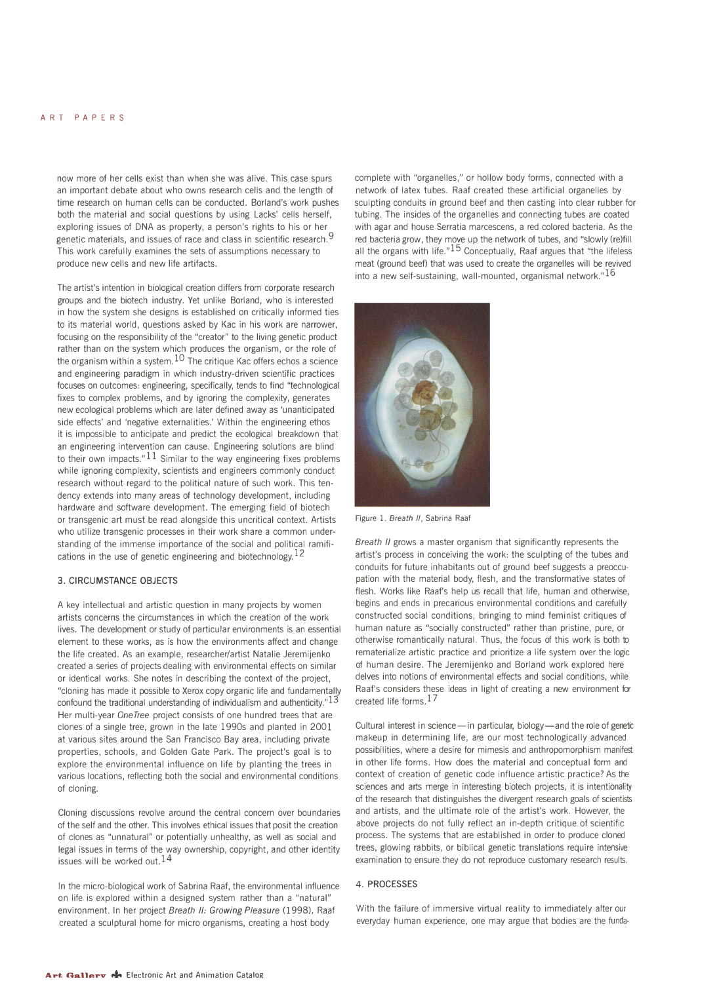now more of her cells exist than when she was alive. This case spurs an important debate about who owns research cells and the length of time research on human cells can be conducted. Borland's work pushes both the material and social questions by using Lacks' cells herself, exploring issues of DNA as property, a person's rights to his or her genetic materials, and issues of race and class in scientific research.<sup>9</sup> This work carefully examines the sets of assumptions necessary to produce new cells and new life artifacts.

The artist's intention in biological creation differs from corporate research groups and the biotech industry. Yet unlike Borland, who is interested in how the system she designs is established on critically informed ties to its material world, questions asked by Kac in his work are narrower, focusing on the responsibility of the "creator" to the living genetic product rather than on the system which produces the organism, or the role of the organism within a system.<sup>10</sup> The critique Kac offers echos a science and engineering paradigm in which industry-driven scientific practices focuses on outcomes: engineering, specifically, tends to find "technological fixes to complex problems, and by ignoring the complexity, generates new ecological problems which are later defined away as 'unanticipated side effects' and 'negative externalities.' Within the engineering ethos it is impossible to anticipate and predict the ecological breakdown that an engineering intervention can cause. Engineering solutions are blind to their own impacts." $11$  Similar to the way engineering fixes problems while ignoring complexity, scientists and engineers commonly conduct research without regard to the political nature of such work. This tendency extends into many areas of technology development, including hardware and software development. The emerging field of biotech or transgenic art must be read alongside this uncritical context. Artists who utilize transgenic processes in their work share a common understanding of the immense importance of the social and political ramifications in the use of genetic engineering and biotechnology. $12$ 

### **3. CIRCUMSTANCE OBJECTS**

A key intellectual and artistic question in many projects by women artists concerns the circumstances in which the creation of the work lives. The development or study of particular environments is an essential element to these works, as is how the environments affect and change the life created. As an example, researcher/artist Natalie Jeremijenko created a series of projects dealing with environmental effects on similar or identical works. She notes in describing the context of the project, "cloning has made it possible to Xerox copy organic life and fundamentally confound the traditional understanding of individualism and authenticity."<sup>13</sup> Her multi-year *One Tree* project consists of one hundred trees that are clones of a single tree, grown in the late 1990s and planted in 2001 at various sites around the San Francisco Bay area, including private properties, schools, and Golden Gate Park. The project's goal is to explore the environmental influence on life by planting the trees in various locations, reflecting both the social and environmental conditions of cloning.

Cloning discussions revolve around the central concern over boundaries of the self and the other. This involves ethical issues that posit the creation of clones as "unnatural" or potentially unhealthy, as well as social and legal issues in terms of the way ownership, copyright, and other identity issues will be worked out.14

In the micro-biological work of Sabrina Raaf, the environmental influence on life is explored within a designed system rather than a "natural" environment. In her project *Breath II: Growing Pleasure* (1 998). Raaf created a sculptural home for micro organisms, creating a host body

complete with "organelles," or hollow body forms, connected with a network of latex tubes. Raaf created these artificial organelles by sculpting conduits in ground beef and then casting into clear rubber for tubing. The insides of the organelles and connecting tubes are coated with agar and house Serratia marcescens, a red colored bacteria. As the red bacteria grow, they move up the network of tubes, and "slowly (re)fill all the organs with life." $15$  Conceptually, Raaf argues that "the lifeless meat (ground beef) that was used to create the organelles will be revived into a new self-sustaining, wall-mounted, organismal network."16



Figure 1. *Breath II,* Sabrina Raaf

*Breath II* grows a master organism that significantly represents the artist's process in conceiving the work: the sculpting of the tubes and conduits for future inhabitants out of ground beef suggests a preoccupation with the material body, flesh, and the transformative states of flesh. Works like Raaf's help us recall that life, human and otherwise, begins and ends in precarious environmental conditions and carefully constructed social conditions, bringing to mind feminist critiques of human nature as "socially constructed" rather than pristine, pure, or otherwise romantically natural. Thus, the focus of this work is both to rematerialize artistic practice and prioritize a life system over the logic of human desire. The Jeremijenko and Borland work explored here delves into notions of environmental effects and social conditions, while Raaf's considers these ideas in light of creating a new environment for created life forms.<sup>17</sup>

Cultural interest in science-in particular, biology-and the role of genetic makeup in determining life, are our most technologically advanced possibilities, where a desire for mimesis and anthropomorphism manifest in other life forms. How does the material and conceptual form and context of creation of genetic code influence artistic practice? As the sciences and arts merge in interesting biotech projects, it is intentionality of the research that distinguishes the divergent research goals of scientists and artists, and the ultimate role of the artist's work. However, the above projects do not fully reflect an in-depth critique of scientific process. The systems that are established in order to produce cloned trees, glowing rabbits, or biblical genetic translations require intensive examination to ensure they do not reproduce customary research results.

#### **4. PROCESSES**

With the failure of immersive virtual reality to immediately alter our everyday human experience, one may argue that bodies are the funda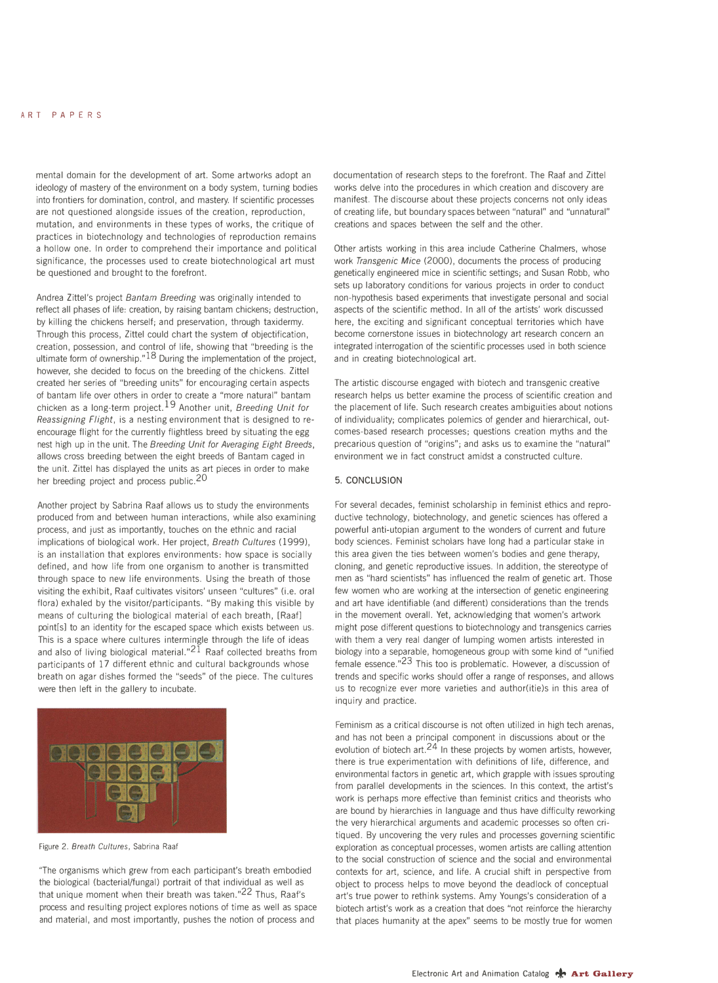mental domain for the development of art. Some artworks adopt an ideology of mastery of the environment on a body system, turning bodies into frontiers for domination, control, and mastery. If scientific processes are not questioned alongside issues of the creation, reproduction, mutation, and environments in these types of works, the critique of practices in biotechnology and technologies of reproduction remains a hollow one. In order to comprehend their importance and political significance, the processes used to create biotechnological art must be questioned and brought to the forefront.

Andrea Zittel's project *Bantam Breeding* was originally intended to reflect all phases of life: creation, by raising bantam chickens; destruction, by killing the chickens herself; and preservation, through taxidermy. Through this process, Zittel could chart the system of objectification, creation, possession, and control of life, showing that "breeding is the ultimate form of ownership."18 During the implementation of the project, however, she decided to focus on the breeding of the chickens. Zittel created her series of "breeding units" for encouraging certain aspects of bantam life over others in order to create a "more natural" bantam chicken as a long-term project.19 Another unit, *Breeding Unit for Reassigning Flight,* is a nesting environment that is designed to reencourage flight for the currently flightless breed by situating the egg nest high up in the unit. The *Breeding Unit for Averaging Eight Breeds,*  allows cross breeding between the eight breeds of Bantam caged in the unit. Zittel has displayed the units as art pieces in order to make her breeding project and process public.<sup>20</sup>

Another project by Sabrina Raaf allows us to study the environments produced from and between human interactions, while also examining process, and just as importantly, touches on the ethnic and racial implications of biological work. Her project, *Breath Cultures* (1999), is an installation that explores environments: how space is socially defined, and how life from one organism to another is transmitted through space to new life environments. Using the breath of those visiting the exhibit, Raaf cultivates visitors' unseen "cultures" (i.e. oral flora) exhaled by the visitor/participants. "By making this visible by means of culturing the biological material of each breath, [Raafl point[s] to an identity for the escaped space which exists between us. This is a space where cultures intermingle through the life of ideas and also of living biological material."<sup>21</sup> Raaf collected breaths from participants of 1 7 different ethnic and cultural backgrounds whose breath on agar dishes formed the "seeds" of the piece. The cultures were then left in the gallery to incubate.



Figure 2. *Breath Cultures,* Sabrina Raaf

"The organisms which grew from each participant's breath embodied the biological (bacterial/fungal) portrait of that individual as well as that unique moment when their breath was taken."22 Thus, Raaf's process and resulting project explores notions of time as well as space and material, and most importantly, pushes the notion of process and

documentation of research steps to the forefront. The Raaf and Zittel works delve into the procedures in which creation and discovery are manifest. The discourse about these projects concerns not only ideas of creating life, but boundary spaces between "natural" and "unnatural" creations and spaces between the self and the other.

Other artists working in this area include Catherine Chalmers, whose work *Transgenic Mice* (2 000), documents the process of producing genetically engineered mice in scientific settings; and Susan Robb, who sets up laboratory conditions for various projects in order to conduct non-hypothesis based experiments that investigate personal and social aspects of the scientific method. In all of the artists' work discussed here, the exciting and significant conceptual territories which have become cornerstone issues in biotechnology art research concern an integrated interrogation of the scientific processes used in both science and in creating biotechnological art.

The artistic discourse engaged with biotech and transgenic creative research helps us better examine the process of scientific creation and the placement of life. Such research creates ambiguities about notions of individuality; complicates polemics of gender and hierarchical, outcomes-based research processes; questions creation myths and the precarious question of "origins"; and asks us to examine the "natural" environment we in fact construct amidst a constructed culture.

## **5. CONCLUSION**

For several decades, feminist scholarship in feminist ethics and reproductive technology, biotechnology, and genetic sciences has offered a powerful anti-utopian argument to the wonders of current and future body sciences. Feminist scholars have long had a particular stake in this area given the ties between women's bodies and gene therapy, cloning, and genetic reproductive issues. In addition, the stereotype of men as "hard scientists" has influenced the realm of genetic art. Those few women who are working at the intersection of genetic engineering and art have identifiable (and different) considerations than the trends in the movement overall. Yet, acknowledging that women's artwork might pose different questions to biotechnology and transgenics carries with them a very real danger of lumping women artists interested in biology into a separable, homogeneous group with some kind of "unified female essence."23 This too is problematic. However, a discussion of trends and specific works should offer a range of responses, and allows us to recognize ever more varieties and author(itie)s in this area of inquiry and practice.

Feminism as a critical discourse is not often utilized in high tech arenas, and has not been a principal component in discussions about or the evolution of biotech art. $24$  In these projects by women artists, however, there is true experimentation with definitions of life, difference, and environmental factors in genetic art, which grapple with issues sprouting from parallel developments in the sciences. In this context, the artist's work is perhaps more effective than feminist critics and theorists who are bound by hierarchies in language and thus have difficulty reworking the very hierarchical arguments and academic processes so often critiqued. By uncovering the very rules and processes governing scientific exploration as conceptual processes, women artists are calling attention to the social construction of science and the social and environmental contexts for art, science, and life. A crucial shift in perspective from object to process helps to move beyond the deadlock of conceptual art's true power to rethink systems. Amy Youngs's consideration of a biotech artist's work as a creation that does "not reinforce the hierarchy that places humanity at the apex" seems to be mostly true for women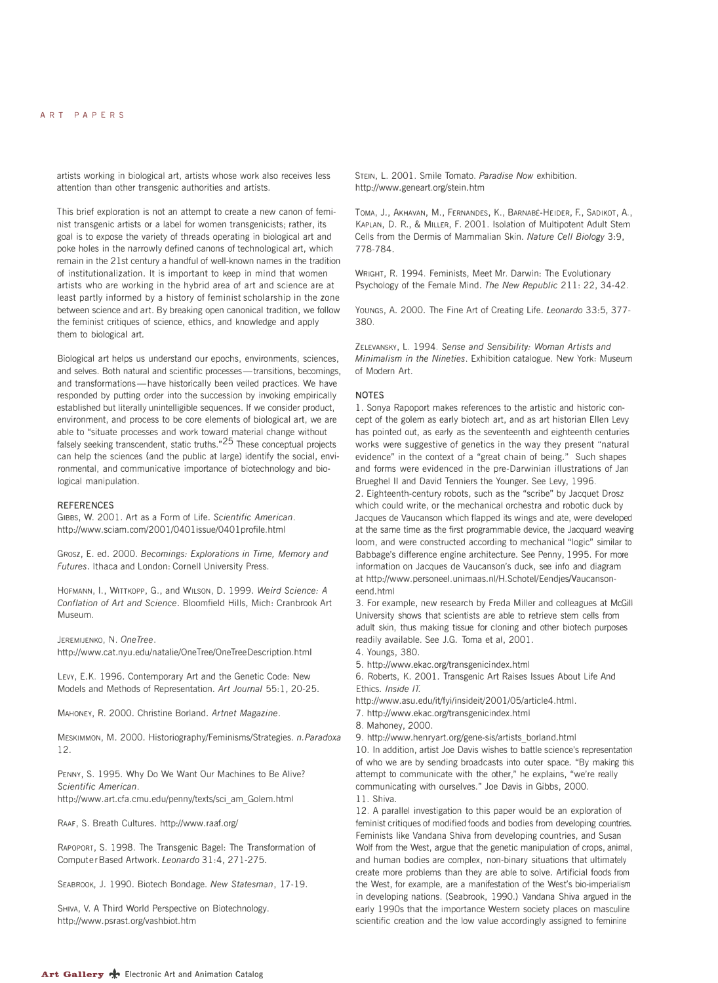artists working in biological art, artists whose work also receives less attention than other transgenic authorities and artists.

This brief exploration is not an attempt to create a new canon of feminist transgenic artists or a label for women transgenicists; rather, its goal is to expose the variety of threads operating in biological art and poke holes in the narrowly defined canons of technological art, which remain in the 21st century a handful of well-known names in the tradition of institutionalization. It is important to keep in mind that women artists who are working in the hybrid area of art and science are at least partly informed by a history of feminist scholarship in the zone between science and art. By breaking open canonical tradition, we follow the feminist critiques of science, ethics, and knowledge and apply them to biological art.

Biological art helps us understand our epochs, environments, sciences, and selves. Both natural and scientific processes—transitions, becomings, and transformations-have historically been veiled practices. We have responded by putting order into the succession by invoking empirically established but literally unintelligible sequences. If we consider product, environment, and process to be core elements of biological art, we are able to "situate processes and work toward material change without falsely seeking transcendent, static truths."25 These conceptual projects can help the sciences (and the public at large) identify the social, environmental, and communicative importance of biotechnology and biological manipulation.

#### **REFERENCES**

GIBBS, W. 2001. Art as a Form of Life. *Scientific American.*  http://www.sciam.com/2001/0401issue/0401 profile. html

GROSZ, E. ed. 2000. *Becomings: Explorations in Time, Memory and Futures.* Ithaca and London: Cornell University Press.

HOFMANN, I., WITTKOPP, G., and WILSON, D. 1999. *Weird Science: A Conflation of Art and Science.* Bloomfield Hills, Mich: Cranbrook Art Museum.

JEREMIJENKO, N. *OneTree.* 

http://www.cat.nyu.edu/natalie/OneTree/OneTreeDescription.html

LEVY, E.K. 1996. Contemporary Art and the Genetic Code: New Models and Methods of Representation. *Art Journal* 55: 1, 20-25.

MAHONEY, R. 2000. Christine Borland. *Artnet Magazine.* 

MESKIMMON, M. 2000. Historiography/Feminisms/Strategies. *n.Paradoxa*  12.

PENNY, S. 1995. Why Do We Want Our Machines to Be Alive? *Scientific American.*  http://www.art.cfa.cmu.edu/penny/texts/sci\_ am\_ Golem. html

RAAF, S. Breath Cultures. http://www.raaf.org/

RAPOPORT, S. 1998. The Transgenic Bagel: The Transformation of Computer-Based Artwork. *Leonardo* 31:4, 271-275.

SEABROOK, J. 1990. Biotech Bondage. *New Statesman,* 17-19.

SHIVA, V. A Third World Perspective on Biotechnology. http://www.psrast.org/vashbiot.htm

STEIN, L. 2001. Smile Tomato. *Paradise Now* exhibition. http://www.geneart.org/stein.htm

TOMA, J., AKHAVAN, M., FERNANDES, K., BARNABÉ-HEIDER, F., SADIKOT, A., KAPLAN, D. R., & MILLER, F. 2001. Isolation of Multipotent Adult Stem Cells from the Dermis of Mammalian Skin. *Nature Cell Biology* 3:9, 778-784.

WRIGHT, R. 1994. Feminists, Meet Mr. Darwin: The Evolutionary Psychology of the Female Mind. *The New Republic* 211: 22, 34-42.

YOUNGS, A. 2000. The Fine Art of Creating Life. *Leonardo* 33:5, 377- 380.

ZELEVANSKY, L. 1994. *Sense and Sensibility: Woman Artists and Minimalism in the Nineties.* Exhibition catalogue. New York: Museum of Modern Art.

#### **NOTES**

1. Sonya Rapoport makes references to the artistic and historic concept of the golem as early biotech art, and as art historian Ellen Levy has pointed out, as early as the seventeenth and eighteenth centuries works were suggestive of genetics in the way they present "natural evidence" in the context of a "great chain of being." Such shapes and forms were evidenced in the pre-Darwinian illustrations of Jan Brueghel II and David Tenniers the Younger. See Levy, 1996. 2. Eighteenth-century robots, such as the "scribe" by Jacquet Orosz which could write, or the mechanical orchestra and robotic duck by Jacques de Vaucanson which flapped its wings and ate, were developed at the same time as the first programmable device, the Jacquard weaving loom, and were constructed according to mechanical "logic" similar to Babbage's difference engine architecture. See Penny, 1995. For more information on Jacques de Vaucanson's duck, see info and diagram at http://www.personeel.unimaas.nl/H.Schotel/Eendjes/Vaucansoneend.html

3. For example, new research by Freda Miller and colleagues at McGill University shows that scientists are able to retrieve stem cells from adult skin, thus making tissue for cloning and other biotech purposes readily available. See J.G. Toma et al, 2001.

4. Youngs, 380.

5. http://www.ekac.org/transgenici ndex. html

6. Roberts, K. 2001. Transgenic Art Raises Issues About Life And Ethics. *Inside IT.* 

http://www.asu.edu/it/fyi/insideit/2001/05/article4.html.

7. http://www.ekac.org/transgenicindex. html

8. Mahoney, 2000.

9. http://www.henryart.org/gene-sis/artists \_ borland .html

10. In addition, artist Joe Davis wishes to battle science's representation of who we are by sending broadcasts into outer space. "By making this attempt to communicate with the other," he explains, "we're really communicating with ourselves." Joe Davis in Gibbs, 2000. 11. Shiva.

12. A parallel investigation to this paper would be an exploration of feminist critiques of modified foods and bodies from developing countries. Feminists like Vandana Shiva from developing countries, and Susan Wolf from the West, argue that the genetic manipulation of crops, animal, and human bodies are complex, non-binary situations that ultimately create more problems than they are able to solve. Artificial foods from the West, for example, are a manifestation of the West's bio-imperialism in developing nations. (Seabrook, 1990.) Vandana Shiva argued in the early 1990s that the importance Western society places on masculine scientific creation and the low value accordingly assigned to feminine